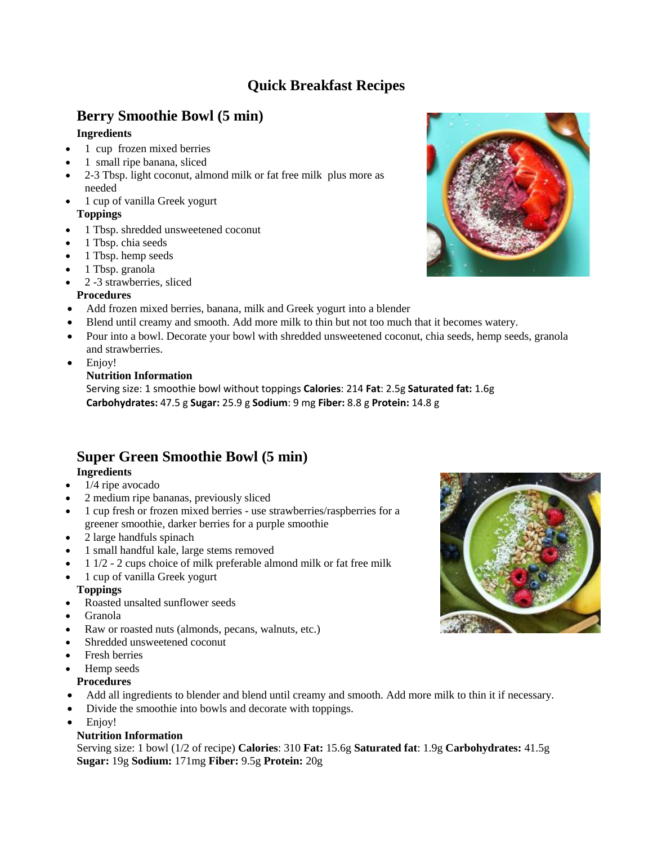# **Quick Breakfast Recipes**

# **Berry Smoothie Bowl (5 min)**

### **Ingredients**

- 1 cup frozen mixed berries
- 1 small ripe banana, sliced
- 2-3 Tbsp. light coconut, almond milk or fat free milk plus more as needed
- 1 cup of vanilla Greek yogurt **Toppings**
- 1 Tbsp. shredded unsweetened coconut
- 1 Tbsp. chia seeds
- $\bullet$  1 Tbsp. hemp seeds
- 1 Tbsp. granola
- 2 -3 strawberries, sliced

### **Procedures**

- Add frozen mixed berries, banana, milk and Greek yogurt into a blender
- Blend until creamy and smooth. Add more milk to thin but not too much that it becomes watery.
- Pour into a bowl. Decorate your bowl with shredded unsweetened coconut, chia seeds, hemp seeds, granola and strawberries.
- Enjoy!

### **Nutrition Information**

Serving size: 1 smoothie bowl without toppings **Calories**: 214 **Fat**: 2.5g **Saturated fat:** 1.6g **Carbohydrates:** 47.5 g **Sugar:** 25.9 g **Sodium**: 9 mg **Fiber:** 8.8 g **Protein:** 14.8 g

# **Super Green Smoothie Bowl (5 min)**

### **Ingredients**

- $\bullet$  1/4 ripe avocado
- 2 medium ripe bananas, previously sliced
- 1 cup fresh or frozen mixed berries use strawberries/raspberries for a greener smoothie, darker berries for a purple smoothie
- 2 large handfuls spinach
- 1 small handful kale, large stems removed
- $\bullet$  1 1/2 2 cups choice of milk preferable almond milk or fat free milk
- 1 cup of vanilla Greek yogurt

### **Toppings**

- Roasted unsalted sunflower seeds
- Granola
- Raw or roasted nuts (almonds, pecans, walnuts, etc.)
- Shredded unsweetened coconut
- Fresh berries
- Hemp seeds
- **Procedures**
- Add all ingredients to blender and blend until creamy and smooth. Add more milk to thin it if necessary.
- Divide the smoothie into bowls and decorate with toppings.
- Enjoy!

### **Nutrition Information**

Serving size: 1 bowl (1/2 of recipe) **Calories**: 310 **Fat:** 15.6g **Saturated fat**: 1.9g **Carbohydrates:** 41.5g **Sugar:** 19g **Sodium:** 171mg **Fiber:** 9.5g **Protein:** 20g



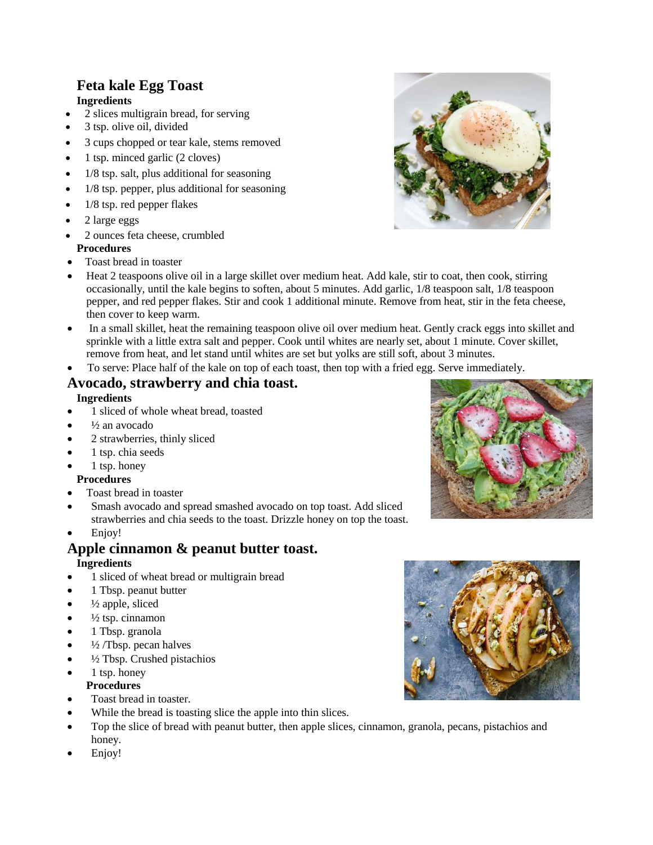# **Feta kale Egg Toast Ingredients**

- 2 slices multigrain bread, for serving
- 3 tsp. olive oil, divided
- 3 cups chopped or tear kale, stems removed
- $\bullet$  1 tsp. minced garlic (2 cloves)
- $\bullet$  1/8 tsp. salt, plus additional for seasoning
- $\bullet$  1/8 tsp. pepper, plus additional for seasoning
- $\bullet$  1/8 tsp. red pepper flakes
- $\bullet$  2 large eggs
- 2 ounces feta cheese, crumbled

# **Procedures**

- Toast bread in toaster
- Heat 2 teaspoons olive oil in a large skillet over medium heat. Add kale, stir to coat, then cook, stirring occasionally, until the kale begins to soften, about 5 minutes. Add garlic, 1/8 teaspoon salt, 1/8 teaspoon pepper, and red pepper flakes. Stir and cook 1 additional minute. Remove from heat, stir in the feta cheese, then cover to keep warm.
- In a small skillet, heat the remaining teaspoon olive oil over medium heat. Gently crack eggs into skillet and sprinkle with a little extra salt and pepper. Cook until whites are nearly set, about 1 minute. Cover skillet, remove from heat, and let stand until whites are set but yolks are still soft, about 3 minutes.
- To serve: Place half of the kale on top of each toast, then top with a fried egg. Serve immediately.

# **Avocado, strawberry and chia toast.**

### **Ingredients**

- 1 sliced of whole wheat bread, toasted
- ½ an avocado
- 2 strawberries, thinly sliced
- 1 tsp. chia seeds
- 1 tsp. honey

### **Procedures**

- Toast bread in toaster
- Smash avocado and spread smashed avocado on top toast. Add sliced strawberries and chia seeds to the toast. Drizzle honey on top the toast.
- Enjoy!

# **Apple cinnamon & peanut butter toast.**

### **Ingredients**

- 1 sliced of wheat bread or multigrain bread
- 1 Tbsp. peanut butter
- ½ apple, sliced
- ½ tsp. cinnamon
- 1 Tbsp. granola
- $\frac{1}{2}$  /Tbsp. pecan halves
- ½ Tbsp. Crushed pistachios
- 1 tsp. honey

### **Procedures**

- Toast bread in toaster.
- While the bread is toasting slice the apple into thin slices.
- Top the slice of bread with peanut butter, then apple slices, cinnamon, granola, pecans, pistachios and honey.
- Enjoy!





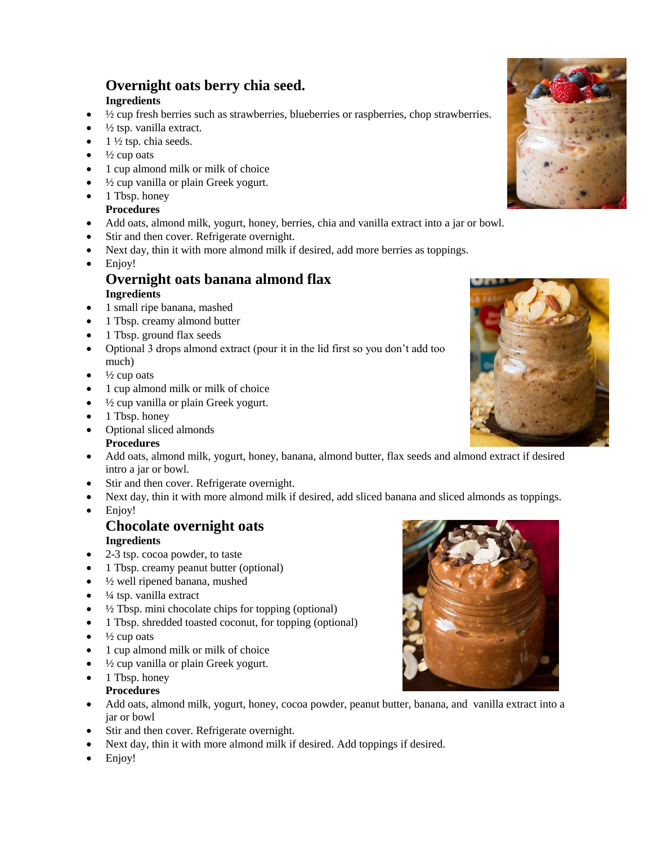# **Overnight oats berry chia seed.**

## **Ingredients**

- ½ cup fresh berries such as strawberries, blueberries or raspberries, chop strawberries.
- ½ tsp. vanilla extract.
- $\bullet$  1 ½ tsp. chia seeds.
- $\frac{1}{2}$  cup oats
- 1 cup almond milk or milk of choice
- ½ cup vanilla or plain Greek yogurt.
- $\bullet$  1 Tbsp. honey **Procedures**
- Add oats, almond milk, yogurt, honey, berries, chia and vanilla extract into a jar or bowl.
- Stir and then cover. Refrigerate overnight.
- Next day, thin it with more almond milk if desired, add more berries as toppings.
- Enjoy!

# **Overnight oats banana almond flax Ingredients**

- 1 small ripe banana, mashed
- 1 Tbsp. creamy almond butter
- 1 Tbsp. ground flax seeds
- Optional 3 drops almond extract (pour it in the lid first so you don't add too much)
- $\bullet$   $\frac{1}{2}$  cup oats
- 1 cup almond milk or milk of choice
- ½ cup vanilla or plain Greek yogurt.
- 1 Tbsp. honey
- Optional sliced almonds **Procedures**
- Add oats, almond milk, yogurt, honey, banana, almond butter, flax seeds and almond extract if desired intro a jar or bowl.
- Stir and then cover. Refrigerate overnight.
- Next day, thin it with more almond milk if desired, add sliced banana and sliced almonds as toppings.
- Enjoy!

### **Chocolate overnight oats Ingredients**

- 2-3 tsp. cocoa powder, to taste
- 1 Tbsp. creamy peanut butter (optional)
- $\bullet$   $\frac{1}{2}$  well ripened banana, mushed
- $\bullet$   $\frac{1}{4}$  tsp. vanilla extract
- ½ Tbsp. mini chocolate chips for topping (optional)
- 1 Tbsp. shredded toasted coconut, for topping (optional)
- $\bullet$   $\frac{1}{2}$  cup oats
- 1 cup almond milk or milk of choice
- $\frac{1}{2}$  cup vanilla or plain Greek yogurt.
- $\bullet$  1 Tbsp. honey

### **Procedures**

- Add oats, almond milk, yogurt, honey, cocoa powder, peanut butter, banana, and vanilla extract into a jar or bowl
- Stir and then cover. Refrigerate overnight.
- Next day, thin it with more almond milk if desired. Add toppings if desired.
- Enjoy!